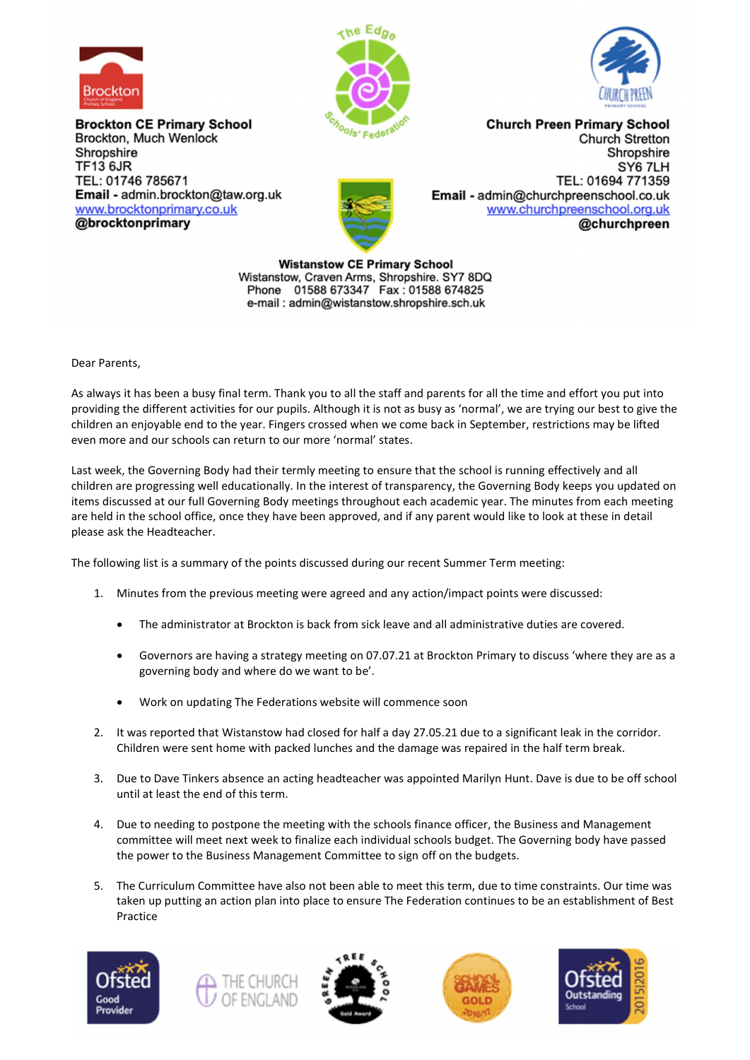

**Brockton CE Primary School** Brockton, Much Wenlock Shropshire **TF13 6JR** TEL: 01746 785671 Email - admin.brockton@taw.org.uk www.brocktonprimary.co.uk @brocktonprimary





**Church Preen Primary School** Church Stretton Shropshire SY6 7LH TEL: 01694 771359 Email - admin@churchpreenschool.co.uk www.churchpreenschool.org.uk @churchpreen

**Wistanstow CE Primary School** Wistanstow, Craven Arms, Shropshire. SY7 8DQ Phone 01588 673347 Fax: 01588 674825 e-mail: admin@wistanstow.shropshire.sch.uk

Dear Parents,

As always it has been a busy final term. Thank you to all the staff and parents for all the time and effort you put into providing the different activities for our pupils. Although it is not as busy as 'normal', we are trying our best to give the children an enjoyable end to the year. Fingers crossed when we come back in September, restrictions may be lifted even more and our schools can return to our more 'normal' states.

Last week, the Governing Body had their termly meeting to ensure that the school is running effectively and all children are progressing well educationally. In the interest of transparency, the Governing Body keeps you updated on items discussed at our full Governing Body meetings throughout each academic year. The minutes from each meeting are held in the school office, once they have been approved, and if any parent would like to look at these in detail please ask the Headteacher.

The following list is a summary of the points discussed during our recent Summer Term meeting:

- 1. Minutes from the previous meeting were agreed and any action/impact points were discussed:
	- The administrator at Brockton is back from sick leave and all administrative duties are covered.
	- Governors are having a strategy meeting on 07.07.21 at Brockton Primary to discuss 'where they are as a governing body and where do we want to be'.
	- Work on updating The Federations website will commence soon
- 2. It was reported that Wistanstow had closed for half a day 27.05.21 due to a significant leak in the corridor. Children were sent home with packed lunches and the damage was repaired in the half term break.
- 3. Due to Dave Tinkers absence an acting headteacher was appointed Marilyn Hunt. Dave is due to be off school until at least the end of this term.
- 4. Due to needing to postpone the meeting with the schools finance officer, the Business and Management committee will meet next week to finalize each individual schools budget. The Governing body have passed the power to the Business Management Committee to sign off on the budgets.
- 5. The Curriculum Committee have also not been able to meet this term, due to time constraints. Our time was taken up putting an action plan into place to ensure The Federation continues to be an establishment of Best Practice









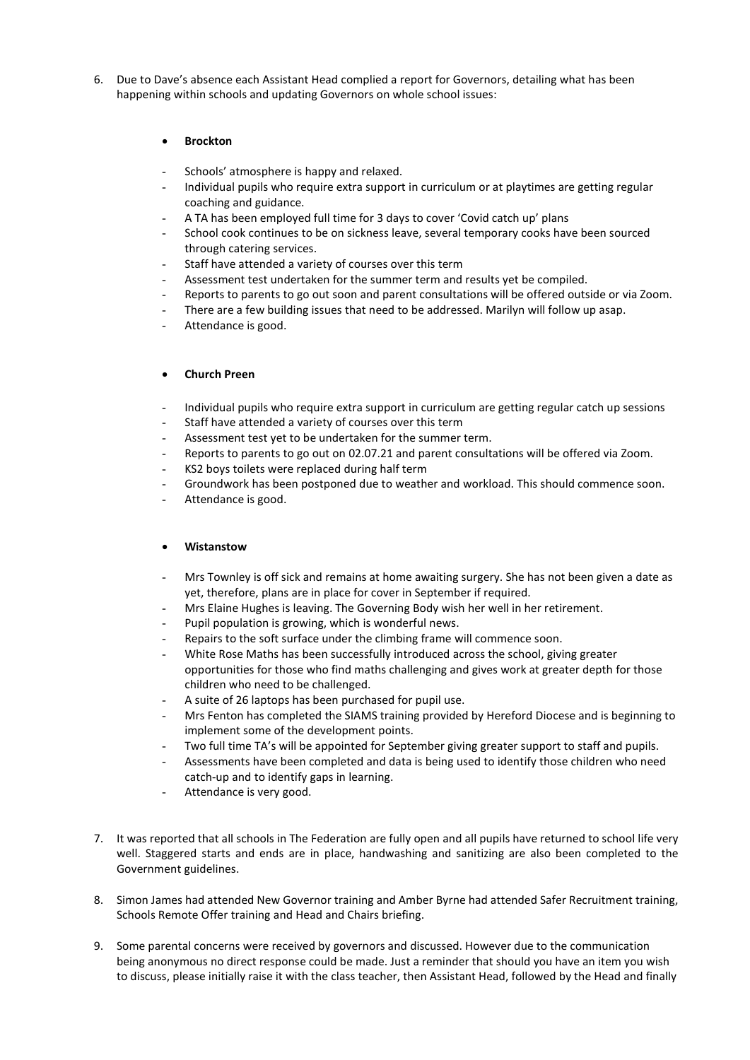6. Due to Dave's absence each Assistant Head complied a report for Governors, detailing what has been happening within schools and updating Governors on whole school issues:

## Brockton

- Schools' atmosphere is happy and relaxed.
- Individual pupils who require extra support in curriculum or at playtimes are getting regular coaching and guidance.
- A TA has been employed full time for 3 days to cover 'Covid catch up' plans
- School cook continues to be on sickness leave, several temporary cooks have been sourced through catering services.
- Staff have attended a variety of courses over this term
- Assessment test undertaken for the summer term and results yet be compiled.
- Reports to parents to go out soon and parent consultations will be offered outside or via Zoom.
- There are a few building issues that need to be addressed. Marilyn will follow up asap.
- Attendance is good.

## Church Preen

- Individual pupils who require extra support in curriculum are getting regular catch up sessions
- Staff have attended a variety of courses over this term
- Assessment test yet to be undertaken for the summer term.
- Reports to parents to go out on 02.07.21 and parent consultations will be offered via Zoom.
- KS2 boys toilets were replaced during half term
- Groundwork has been postponed due to weather and workload. This should commence soon.
- Attendance is good.

## Wistanstow

- Mrs Townley is off sick and remains at home awaiting surgery. She has not been given a date as yet, therefore, plans are in place for cover in September if required.
- Mrs Elaine Hughes is leaving. The Governing Body wish her well in her retirement.
- Pupil population is growing, which is wonderful news.
- Repairs to the soft surface under the climbing frame will commence soon.
- White Rose Maths has been successfully introduced across the school, giving greater opportunities for those who find maths challenging and gives work at greater depth for those children who need to be challenged.
- A suite of 26 laptops has been purchased for pupil use.
- Mrs Fenton has completed the SIAMS training provided by Hereford Diocese and is beginning to implement some of the development points.
- Two full time TA's will be appointed for September giving greater support to staff and pupils.
- Assessments have been completed and data is being used to identify those children who need catch-up and to identify gaps in learning.
- Attendance is very good.
- 7. It was reported that all schools in The Federation are fully open and all pupils have returned to school life very well. Staggered starts and ends are in place, handwashing and sanitizing are also been completed to the Government guidelines.
- 8. Simon James had attended New Governor training and Amber Byrne had attended Safer Recruitment training, Schools Remote Offer training and Head and Chairs briefing.
- 9. Some parental concerns were received by governors and discussed. However due to the communication being anonymous no direct response could be made. Just a reminder that should you have an item you wish to discuss, please initially raise it with the class teacher, then Assistant Head, followed by the Head and finally